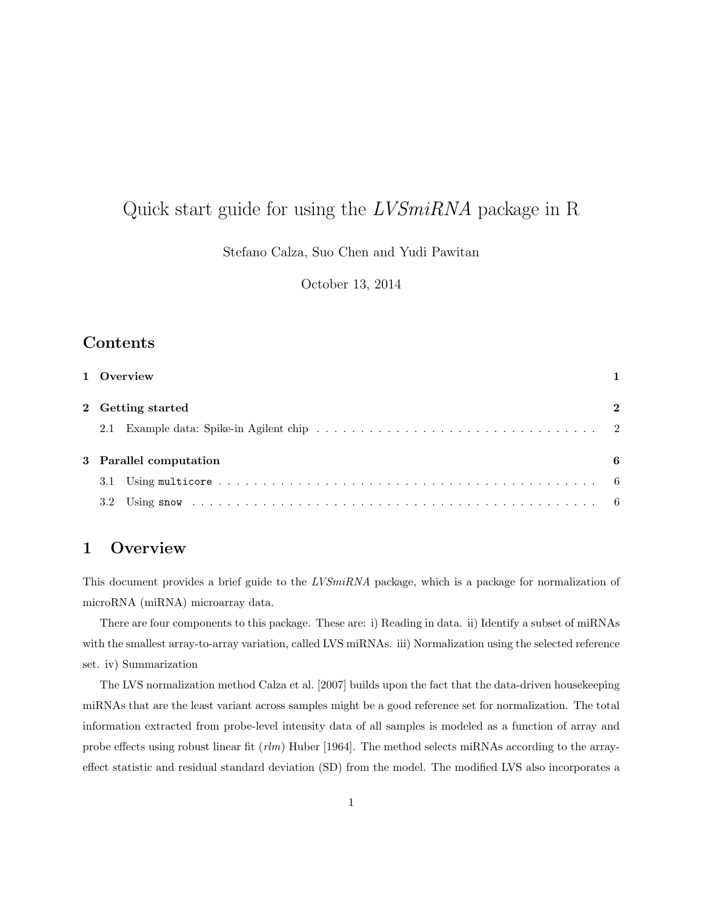# Quick start guide for using the LVSmiRNA package in R

Stefano Calza, Suo Chen and Yudi Pawitan

October 13, 2014

## Contents

|     | 1 Overview             |              |
|-----|------------------------|--------------|
|     | 2 Getting started      | $\mathbf{2}$ |
| 2.1 |                        |              |
|     | 3 Parallel computation |              |
| 3.1 |                        |              |
|     |                        |              |

### 1 Overview

This document provides a brief guide to the LVSmiRNA package, which is a package for normalization of microRNA (miRNA) microarray data.

There are four components to this package. These are: i) Reading in data. ii) Identify a subset of miRNAs with the smallest array-to-array variation, called LVS miRNAs. iii) Normalization using the selected reference set. iv) Summarization

The LVS normalization method Calza et al. [2007] builds upon the fact that the data-driven housekeeping miRNAs that are the least variant across samples might be a good reference set for normalization. The total information extracted from probe-level intensity data of all samples is modeled as a function of array and probe effects using robust linear fit  $(r/m)$  Huber [1964]. The method selects miRNAs according to the arrayeffect statistic and residual standard deviation (SD) from the model. The modified LVS also incorporates a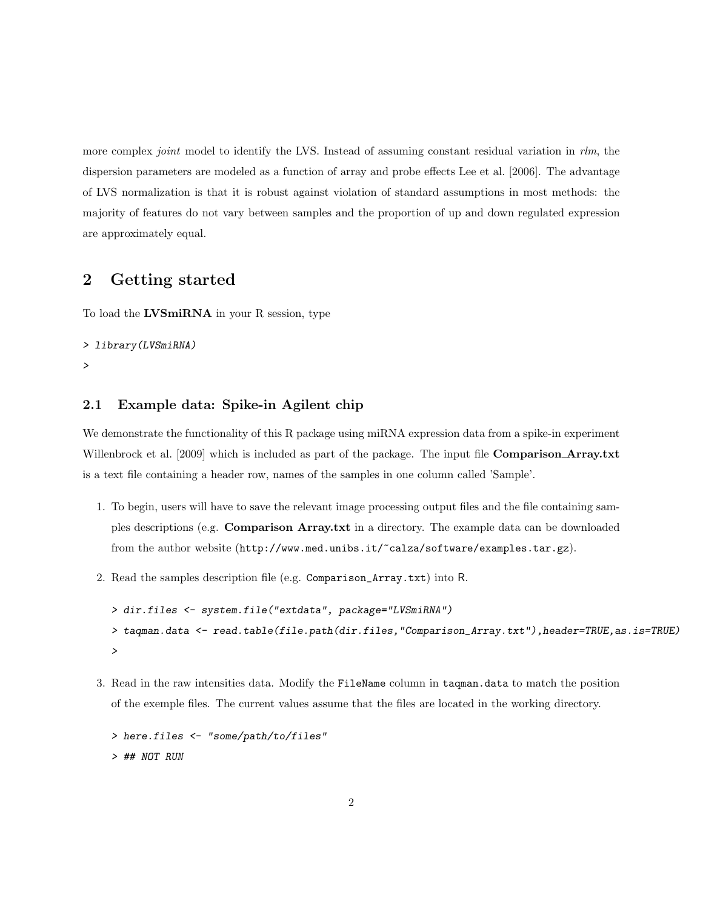more complex *joint* model to identify the LVS. Instead of assuming constant residual variation in  $rlm$ , the dispersion parameters are modeled as a function of array and probe effects Lee et al. [2006]. The advantage of LVS normalization is that it is robust against violation of standard assumptions in most methods: the majority of features do not vary between samples and the proportion of up and down regulated expression are approximately equal.

### 2 Getting started

To load the LVSmiRNA in your R session, type

```
> library(LVSmiRNA)
```
>

#### 2.1 Example data: Spike-in Agilent chip

We demonstrate the functionality of this R package using miRNA expression data from a spike-in experiment Willenbrock et al. [2009] which is included as part of the package. The input file **Comparison\_Array.txt** is a text file containing a header row, names of the samples in one column called 'Sample'.

- 1. To begin, users will have to save the relevant image processing output files and the file containing samples descriptions (e.g. Comparison Array.txt in a directory. The example data can be downloaded from the author website (http://www.med.unibs.it/~calza/software/examples.tar.gz).
- 2. Read the samples description file (e.g. Comparison\_Array.txt) into R.

```
> dir.files <- system.file("extdata", package="LVSmiRNA")
> taqman.data <- read.table(file.path(dir.files,"Comparison_Array.txt"),header=TRUE,as.is=TRUE)
>
```
3. Read in the raw intensities data. Modify the FileName column in taqman.data to match the position of the exemple files. The current values assume that the files are located in the working directory.

```
> here.files <- "some/path/to/files"
> ## NOT RUN
```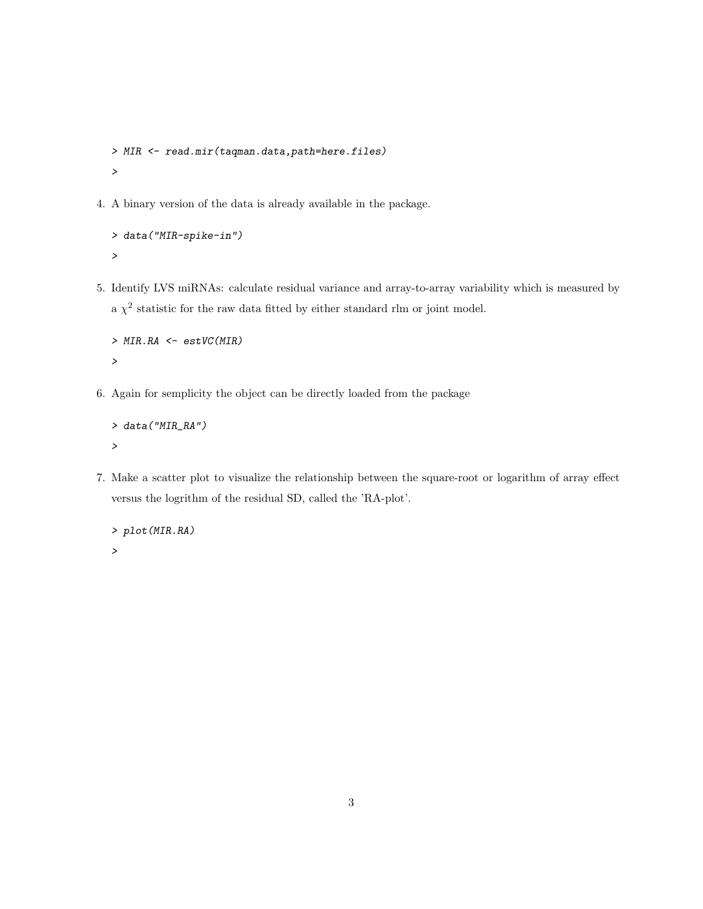```
> MIR <- read.mir(taqman.data,path=here.files)
>
```
4. A binary version of the data is already available in the package.

```
> data("MIR-spike-in")
>
```
5. Identify LVS miRNAs: calculate residual variance and array-to-array variability which is measured by a  $\chi^2$  statistic for the raw data fitted by either standard rlm or joint model.

```
> MIR.RA <- estVC(MIR)
>
```
6. Again for semplicity the object can be directly loaded from the package

```
> data("MIR_RA")
>
```
7. Make a scatter plot to visualize the relationship between the square-root or logarithm of array effect versus the logrithm of the residual SD, called the 'RA-plot'.

```
> plot(MIR.RA)
>
```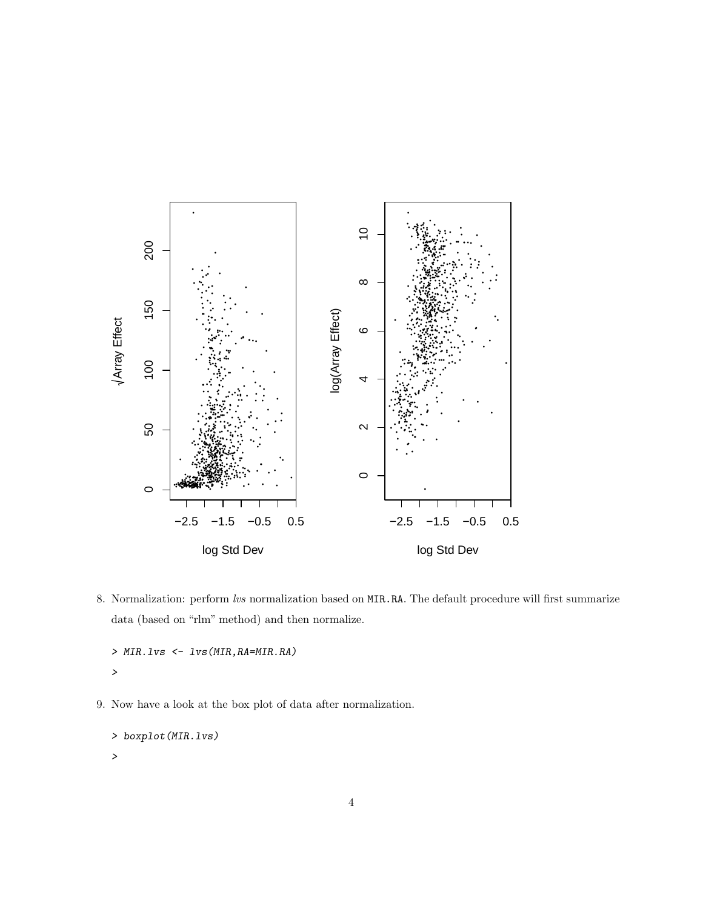

8. Normalization: perform lvs normalization based on MIR.RA. The default procedure will first summarize data (based on "rlm" method) and then normalize.

```
> MIR.1vs < -1vs(MIR,RA=MIR.RA)\overline{\phantom{0}}
```
9. Now have a look at the box plot of data after normalization.

```
> boxplot (MIR.1vs)
\mathbf{r}
```
 $\overline{4}$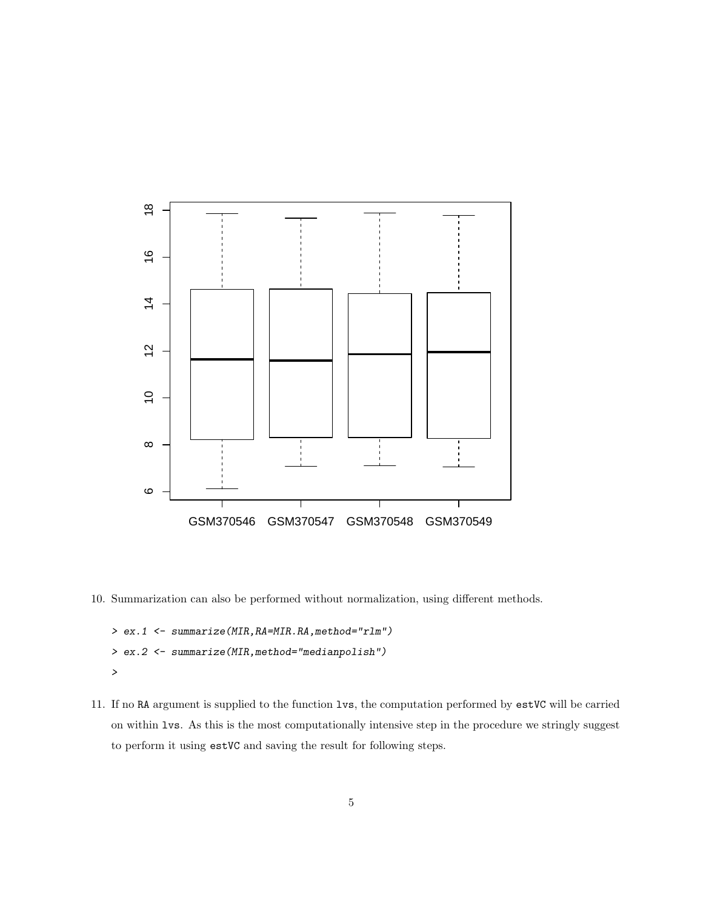

10. Summarization can also be performed without normalization, using different methods.

```
> ex.1 <- summarize(MIR,RA=MIR.RA,method="rlm")
> ex.2 <- summarize(MIR,method="medianpolish")
>
```
11. If no RA argument is supplied to the function lvs, the computation performed by estVC will be carried on within lvs. As this is the most computationally intensive step in the procedure we stringly suggest to perform it using estVC and saving the result for following steps.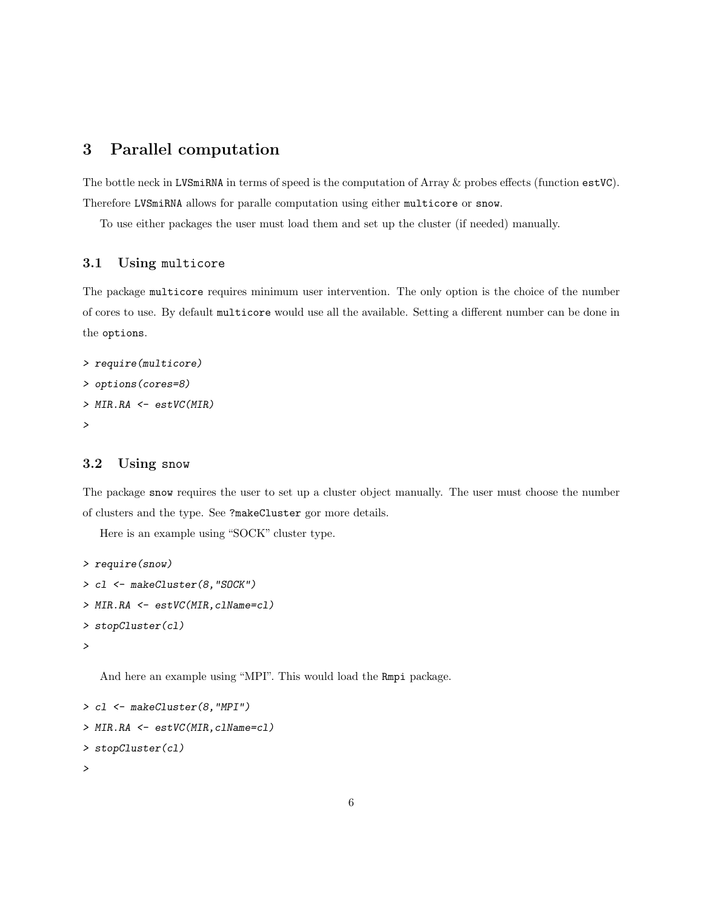### 3 Parallel computation

The bottle neck in LVSmiRNA in terms of speed is the computation of Array & probes effects (function estVC). Therefore LVSmiRNA allows for paralle computation using either multicore or snow.

To use either packages the user must load them and set up the cluster (if needed) manually.

#### 3.1 Using multicore

The package multicore requires minimum user intervention. The only option is the choice of the number of cores to use. By default multicore would use all the available. Setting a different number can be done in the options.

```
> require(multicore)
> options(cores=8)
> MIR.RA <- estVC(MIR)
>
```
#### 3.2 Using snow

The package snow requires the user to set up a cluster object manually. The user must choose the number of clusters and the type. See ?makeCluster gor more details.

Here is an example using "SOCK" cluster type.

```
> require(snow)
> cl <- makeCluster(8,"SOCK")
> MIR.RA <- estVC(MIR,clName=cl)
> stopCluster(cl)
>
```
And here an example using "MPI". This would load the Rmpi package.

```
> cl <- makeCluster(8,"MPI")
> MIR.RA <- estVC(MIR,clName=cl)
> stopCluster(cl)
>
```